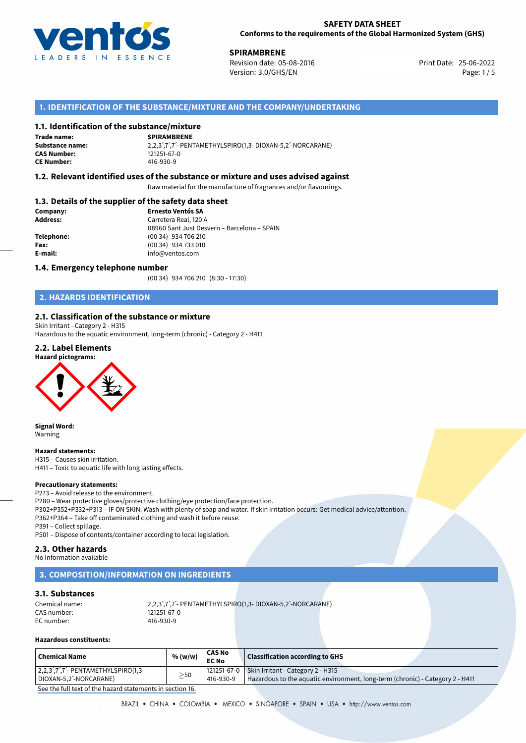

25-06-2022 **SPIRAMBRENE** Revision date: 05-08-2016 Print Date: Version: 3.0/GHS/EN Page: 1/5

## **1. IDENTIFICATION OF THE SUBSTANCE/MIXTURE AND THE COMPANY/UNDERTAKING**

## **1.1. Identification of the substance/mixture**

### **SPIRAMBRENE Trade name:**

**Substance name:** 2,2,3ˊ,7ˊ,7ˊ- PENTAMETHYLSPIRO(1,3- DIOXAN-5,2ˊ-NORCARANE) **CE Number:** 416-930-9

### **1.2. Relevant identified uses of the substance or mixture and uses advised against**

Raw material for the manufacture of fragrances and/or flavourings.

### **1.3. Details of the supplier of the safety data sheet**

| Company:   | <b>Ernesto Ventós SA</b>                    |  |  |
|------------|---------------------------------------------|--|--|
| Address:   | Carretera Real, 120 A                       |  |  |
|            | 08960 Sant Just Desvern - Barcelona - SPAIN |  |  |
| Telephone: | (00 34) 934 706 210                         |  |  |
| Fax:       | (00 34) 934 733 010                         |  |  |
| E-mail:    | info@ventos.com                             |  |  |
|            |                                             |  |  |

### **1.4. Emergency telephone number**

(00 34) 934 706 210 (8:30 - 17:30)

## **2. HAZARDS IDENTIFICATION**

## **2.1. Classification of the substance or mixture**

Skin Irritant - Category 2 - H315 Hazardous to the aquatic environment, long-term (chronic) - Category 2 - H411

## **2.2. Label Elements**

**Hazard pictograms:**

**CAS Number:** 



**Signal Word:** Warning

### **Hazard statements:**

H315 – Causes skin irritation. H411 – Toxic to aquatic life with long lasting effects.

### **Precautionary statements:**

P273 – Avoid release to the environment.

P280 – Wear protective gloves/protective clothing/eye protection/face protection. P302+P352+P332+P313 – IF ON SKIN: Wash with plenty of soap and water. If skin irritation occurs: Get medical advice/attention. P362+P364 – Take off contaminated clothing and wash it before reuse.

P391 – Collect spillage. P501 – Dispose of contents/container according to local legislation.

### **2.3. Other hazards**

No Information available

## **3. COMPOSITION/INFORMATION ON INGREDIENTS**

## **3.1. Substances**

| Chemical name: |             | 2,2,3',7',7'- PENTAMETHYLSPIRO(1,3- DIOXAN-5,2'-NORCARANE) |
|----------------|-------------|------------------------------------------------------------|
| CAS number:    | 121251-67-0 |                                                            |
| EC number:     | 416-930-9   |                                                            |

### **Hazardous constituents:**

| <b>Chemical Name</b>                                              | % (w/w)   | <b>CAS No</b><br><b>EC No</b> | <b>Classification according to GHS</b>                                                                                           |
|-------------------------------------------------------------------|-----------|-------------------------------|----------------------------------------------------------------------------------------------------------------------------------|
| $ 2,2,3',7',7'$ - PENTAMETHYLSPIRO(1,3-<br>DIOXAN-5,2'-NORCARANE) | $\geq$ 50 | 416-930-9                     | 121251-67-0   Skin Irritant - Category 2 - H315<br>Hazardous to the aquatic environment, long-term (chronic) - Category 2 - H411 |

[See the full text of the hazard statements in section 16.](#page--1-0)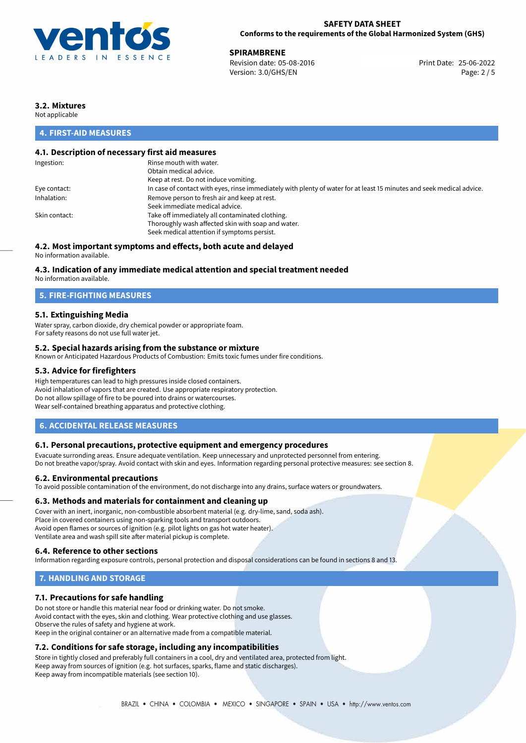

**SPIRAMBRENE**<br>
Revision date: 05-08-2016<br> **Print Date: 25-06-2022** Revision date: 05-08-2016 Version: 3.0/GHS/EN Page: 2 / 5

## **3.2. Mixtures**

Not applicable

## **4. FIRST-AID MEASURES**

## **4.1. Description of necessary first aid measures**

| Ingestion:    | Rinse mouth with water.                                                                                               |
|---------------|-----------------------------------------------------------------------------------------------------------------------|
|               | Obtain medical advice.                                                                                                |
|               | Keep at rest. Do not induce vomiting.                                                                                 |
| Eye contact:  | In case of contact with eyes, rinse immediately with plenty of water for at least 15 minutes and seek medical advice. |
| Inhalation:   | Remove person to fresh air and keep at rest.                                                                          |
|               | Seek immediate medical advice.                                                                                        |
| Skin contact: | Take off immediately all contaminated clothing.                                                                       |
|               | Thoroughly wash affected skin with soap and water.                                                                    |
|               | Seek medical attention if symptoms persist.                                                                           |
|               |                                                                                                                       |

## **4.2. Most important symptoms and effects, both acute and delayed**

No information available.

### **4.3. Indication of any immediate medical attention and special treatment needed**

No information available.

## **5. FIRE-FIGHTING MEASURES**

### **5.1. Extinguishing Media**

Water spray, carbon dioxide, dry chemical powder or appropriate foam. For safety reasons do not use full water jet.

### **5.2. Special hazards arising from the substance or mixture**

Known or Anticipated Hazardous Products of Combustion: Emits toxic fumes under fire conditions.

### **5.3. Advice for firefighters**

High temperatures can lead to high pressures inside closed containers. Avoid inhalation of vapors that are created. Use appropriate respiratory protection. Do not allow spillage of fire to be poured into drains or watercourses. Wear self-contained breathing apparatus and protective clothing.

### **6. ACCIDENTAL RELEASE MEASURES**

### **6.1. Personal precautions, protective equipment and emergency procedures**

Evacuate surronding areas. Ensure adequate ventilation. Keep unnecessary and unprotected personnel from entering. Do not breathe vapor/spray. Avoid contact with skin and eyes. Information regarding personal protective measures: see section 8.

### **6.2. Environmental precautions**

To avoid possible contamination of the environment, do not discharge into any drains, surface waters or groundwaters.

### **6.3. Methods and materials for containment and cleaning up**

Cover with an inert, inorganic, non-combustible absorbent material (e.g. dry-lime, sand, soda ash). Place in covered containers using non-sparking tools and transport outdoors. Avoid open flames or sources of ignition (e.g. pilot lights on gas hot water heater). Ventilate area and wash spill site after material pickup is complete.

### **6.4. Reference to other sections**

Information regarding exposure controls, personal protection and disposal considerations can be found in sections 8 and 13.

## **7. HANDLING AND STORAGE**

### **7.1. Precautions for safe handling**

Do not store or handle this material near food or drinking water. Do not smoke. Avoid contact with the eyes, skin and clothing. Wear protective clothing and use glasses. Observe the rules of safety and hygiene at work. Keep in the original container or an alternative made from a compatible material.

## **7.2. Conditions for safe storage, including any incompatibilities**

Store in tightly closed and preferably full containers in a cool, dry and ventilated area, protected from light. Keep away from sources of ignition (e.g. hot surfaces, sparks, flame and static discharges). Keep away from incompatible materials (see section 10).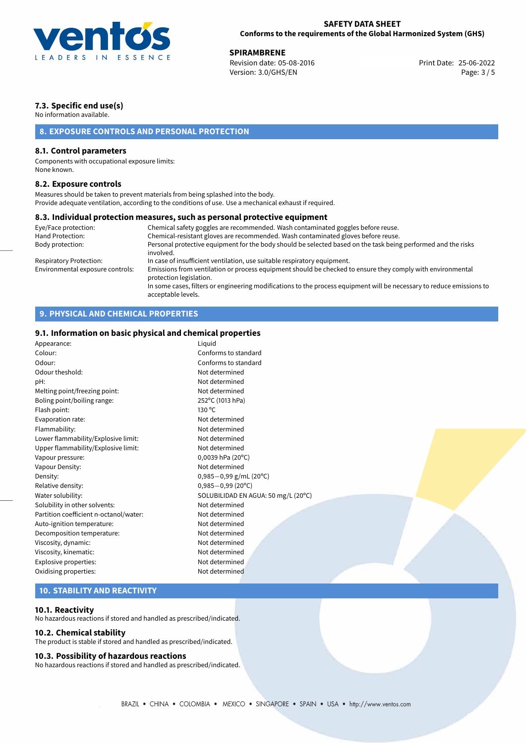

**SPIRAMBRENE**<br>
Revision date: 05-08-2016 **Print Date: 25-06-2022** Version: 3.0/GHS/EN Page: 3 / 5

## **7.3. Specific end use(s)**

No information available.

## **8. EXPOSURE CONTROLS AND PERSONAL PROTECTION**

### **8.1. Control parameters**

Components with occupational exposure limits: None known.

### **8.2. Exposure controls**

Measures should be taken to prevent materials from being splashed into the body. Provide adequate ventilation, according to the conditions of use. Use a mechanical exhaust if required.

### **8.3. Individual protection measures, such as personal protective equipment**

| Eye/Face protection:             | Chemical safety goggles are recommended. Wash contaminated goggles before reuse.                                                            |
|----------------------------------|---------------------------------------------------------------------------------------------------------------------------------------------|
| Hand Protection:                 | Chemical-resistant gloves are recommended. Wash contaminated gloves before reuse.                                                           |
| Body protection:                 | Personal protective equipment for the body should be selected based on the task being performed and the risks<br>involved.                  |
| Respiratory Protection:          | In case of insufficient ventilation, use suitable respiratory equipment.                                                                    |
| Environmental exposure controls: | Emissions from ventilation or process equipment should be checked to ensure they comply with environmental<br>protection legislation.       |
|                                  | In some cases, filters or engineering modifications to the process equipment will be necessary to reduce emissions to<br>acceptable levels. |

## **9. PHYSICAL AND CHEMICAL PROPERTIES**

## **9.1. Information on basic physical and chemical properties**

| Appearance:                            | Liquid                              |
|----------------------------------------|-------------------------------------|
| Colour:                                | Conforms to standard                |
| Odour:                                 | Conforms to standard                |
| Odour theshold:                        | Not determined                      |
| pH:                                    | Not determined                      |
| Melting point/freezing point:          | Not determined                      |
| Boling point/boiling range:            | 252°C (1013 hPa)                    |
| Flash point:                           | 130 °C                              |
| Evaporation rate:                      | Not determined                      |
| Flammability:                          | Not determined                      |
| Lower flammability/Explosive limit:    | Not determined                      |
| Upper flammability/Explosive limit:    | Not determined                      |
| Vapour pressure:                       | $0,0039$ hPa (20°C)                 |
| Vapour Density:                        | Not determined                      |
| Density:                               | $0,985 - 0,99$ g/mL (20°C)          |
| Relative density:                      | $0,985 - 0,99$ (20°C)               |
| Water solubility:                      | SOLUBILIDAD EN AGUA: 50 mg/L (20°C) |
| Solubility in other solvents:          | Not determined                      |
| Partition coefficient n-octanol/water: | Not determined                      |
| Auto-ignition temperature:             | Not determined                      |
| Decomposition temperature:             | Not determined                      |
| Viscosity, dynamic:                    | Not determined                      |
| Viscosity, kinematic:                  | Not determined                      |
| Explosive properties:                  | Not determined                      |
| Oxidising properties:                  | Not determined                      |
|                                        |                                     |

## **10. STABILITY AND REACTIVITY**

### **10.1. Reactivity**

No hazardous reactions if stored and handled as prescribed/indicated.

### **10.2. Chemical stability**

The product is stable if stored and handled as prescribed/indicated.

### **10.3. Possibility of hazardous reactions**

No hazardous reactions if stored and handled as prescribed/indicated.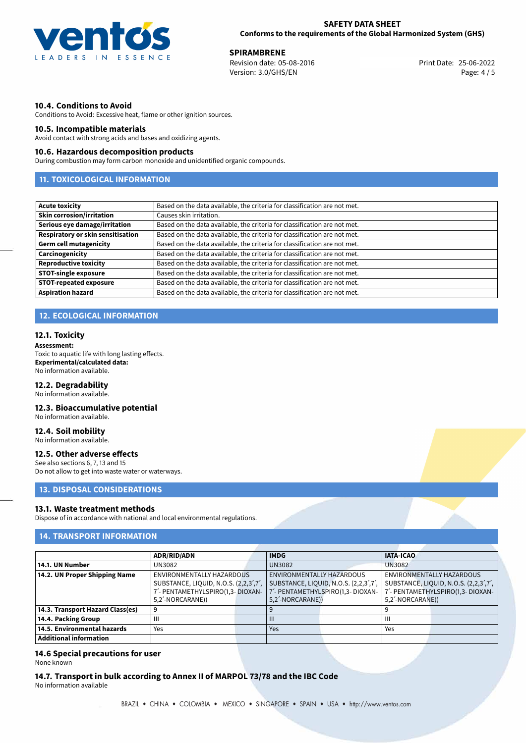

**SPIRAMBRENE**<br>
Revision date: 05-08-2016 **Print Date: 25-06-2022** Version: 3.0/GHS/EN Page: 4 / 5

### **10.4. Conditions to Avoid**

Conditions to Avoid: Excessive heat, flame or other ignition sources.

### **10.5. Incompatible materials**

Avoid contact with strong acids and bases and oxidizing agents.

### **10.6. Hazardous decomposition products**

During combustion may form carbon monoxide and unidentified organic compounds.

## **11. TOXICOLOGICAL INFORMATION**

| <b>Acute toxicity</b>             | Based on the data available, the criteria for classification are not met. |
|-----------------------------------|---------------------------------------------------------------------------|
| <b>Skin corrosion/irritation</b>  | Causes skin irritation.                                                   |
| Serious eye damage/irritation     | Based on the data available, the criteria for classification are not met. |
| Respiratory or skin sensitisation | Based on the data available, the criteria for classification are not met. |
| <b>Germ cell mutagenicity</b>     | Based on the data available, the criteria for classification are not met. |
| Carcinogenicity                   | Based on the data available, the criteria for classification are not met. |
| <b>Reproductive toxicity</b>      | Based on the data available, the criteria for classification are not met. |
| <b>STOT-single exposure</b>       | Based on the data available, the criteria for classification are not met. |
| <b>STOT-repeated exposure</b>     | Based on the data available, the criteria for classification are not met. |
| <b>Aspiration hazard</b>          | Based on the data available, the criteria for classification are not met. |

## **12. ECOLOGICAL INFORMATION**

### **12.1. Toxicity**

### **Assessment:**

Toxic to aquatic life with long lasting effects. **Experimental/calculated data:** No information available.

### **12.2. Degradability**

No information available.

## **12.3. Bioaccumulative potential**

No information available.

### **12.4. Soil mobility** No information available.

## **12.5. Other adverse effects**

See also sections 6, 7, 13 and 15 Do not allow to get into waste water or waterways.

## **13. DISPOSAL CONSIDERATIONS**

### **13.1. Waste treatment methods**

Dispose of in accordance with national and local environmental regulations.

# **14. TRANSPORT INFORMATION**

|                                  | <b>ADR/RID/ADN</b>                    | <b>IMDG</b>                      |                                       | <b>IATA-ICAO</b>              |                                                                 |
|----------------------------------|---------------------------------------|----------------------------------|---------------------------------------|-------------------------------|-----------------------------------------------------------------|
| 14.1. UN Number                  | UN3082                                | <b>UN3082</b>                    |                                       | <b>UN3082</b>                 |                                                                 |
| 14.2. UN Proper Shipping Name    | ENVIRONMENTALLY HAZARDOUS             | <b>ENVIRONMENTALLY HAZARDOUS</b> |                                       |                               | ENVIRONMENTALLY HAZARDOUS                                       |
|                                  | SUBSTANCE, LIQUID, N.O.S. (2,2,3',7', |                                  | SUBSTANCE, LIQUID, N.O.S. (2,2,3',7', |                               | SUBSTANCE, LIQUID, N.O.S. (2,2,3 <sup>'</sup> ,7 <sup>'</sup> , |
|                                  | 7'- PENTAMETHYLSPIRO(1,3- DIOXAN-     |                                  | 7'- PENTAMETHYLSPIRO(1,3- DIOXAN-     |                               | 7'- PENTAMETHYLSPIRO(1,3- DIOXAN-                               |
|                                  | 5,2 <sup>'</sup> -NORCARANE))         | 5,2 <sup>'</sup> -NORCARANE))    |                                       | 5.2 <sup>'</sup> -NORCARANE)) |                                                                 |
| 14.3. Transport Hazard Class(es) |                                       |                                  |                                       |                               |                                                                 |
| 14.4. Packing Group              | Ш                                     | $\mathbf{III}$                   |                                       | Ш                             |                                                                 |
| 14.5. Environmental hazards      | Yes                                   | Yes                              |                                       | Yes                           |                                                                 |
| <b>Additional information</b>    |                                       |                                  |                                       |                               |                                                                 |

### **14.6 Special precautions for user** None known

**14.7. Transport in bulk according to Annex II of MARPOL 73/78 and the IBC Code** No information available